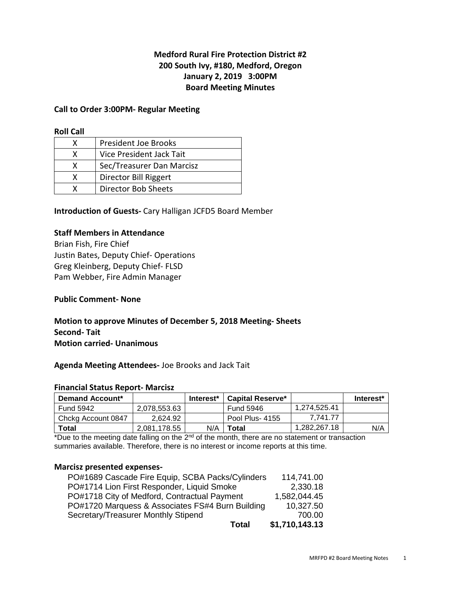## **Medford Rural Fire Protection District #2 200 South Ivy, #180, Medford, Oregon January 2, 2019 3:00PM Board Meeting Minutes**

#### **Call to Order 3:00PM- Regular Meeting**

#### **Roll Call**

|   | <b>President Joe Brooks</b> |
|---|-----------------------------|
| x | Vice President Jack Tait    |
| X | Sec/Treasurer Dan Marcisz   |
| x | Director Bill Riggert       |
|   | Director Bob Sheets         |

**Introduction of Guests-** Cary Halligan JCFD5 Board Member

## **Staff Members in Attendance**

Brian Fish, Fire Chief Justin Bates, Deputy Chief- Operations Greg Kleinberg, Deputy Chief- FLSD Pam Webber, Fire Admin Manager

#### **Public Comment- None**

## **Motion to approve Minutes of December 5, 2018 Meeting- Sheets Second- Tait Motion carried- Unanimous**

#### **Agenda Meeting Attendees-** Joe Brooks and Jack Tait

#### **Financial Status Report- Marcisz**

| <b>Demand Account*</b> |              | Interest* | Capital Reserve* |              | Interest* |
|------------------------|--------------|-----------|------------------|--------------|-----------|
| Fund 5942              | 2.078.553.63 |           | Fund 5946        | 1.274.525.41 |           |
| Chckg Account 0847     | 2.624.92     |           | Pool Plus- 4155  | 7.741.77     |           |
| Total                  | 2.081.178.55 | N/A       | <b>Total</b>     | 1.282.267.18 | N/A       |

\*Due to the meeting date falling on the 2<sup>nd</sup> of the month, there are no statement or transaction summaries available. Therefore, there is no interest or income reports at this time.

#### **Marcisz presented expenses-**

| <b>Total</b>                                     | \$1,710,143.13 |
|--------------------------------------------------|----------------|
| Secretary/Treasurer Monthly Stipend              | 700.00         |
| PO#1720 Marquess & Associates FS#4 Burn Building | 10,327.50      |
| PO#1718 City of Medford, Contractual Payment     | 1,582,044.45   |
| PO#1714 Lion First Responder, Liquid Smoke       | 2,330.18       |
| PO#1689 Cascade Fire Equip, SCBA Packs/Cylinders | 114,741.00     |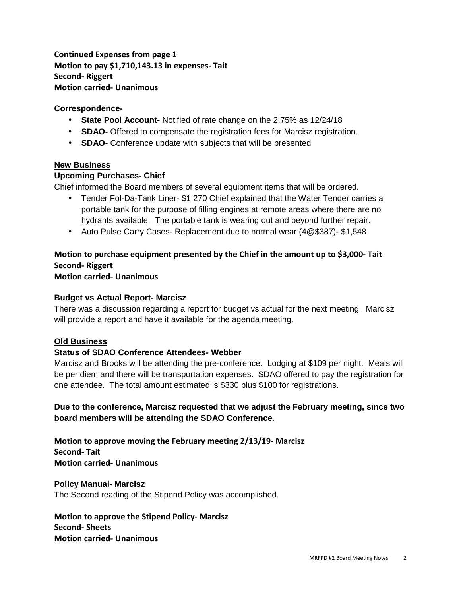**Continued Expenses from page 1 Motion to pay \$1,710,143.13 in expenses- Tait Second- Riggert Motion carried- Unanimous** 

## **Correspondence-**

- **State Pool Account-** Notified of rate change on the 2.75% as 12/24/18
- **SDAO-** Offered to compensate the registration fees for Marcisz registration.
- **SDAO-** Conference update with subjects that will be presented

## **New Business**

## **Upcoming Purchases- Chief**

Chief informed the Board members of several equipment items that will be ordered.

- Tender Fol-Da-Tank Liner- \$1,270 Chief explained that the Water Tender carries a portable tank for the purpose of filling engines at remote areas where there are no hydrants available. The portable tank is wearing out and beyond further repair.
- Auto Pulse Carry Cases- Replacement due to normal wear (4@\$387)- \$1,548

# **Motion to purchase equipment presented by the Chief in the amount up to \$3,000- Tait Second- Riggert**

**Motion carried- Unanimous** 

## **Budget vs Actual Report- Marcisz**

There was a discussion regarding a report for budget vs actual for the next meeting. Marcisz will provide a report and have it available for the agenda meeting.

## **Old Business**

## **Status of SDAO Conference Attendees- Webber**

Marcisz and Brooks will be attending the pre-conference. Lodging at \$109 per night. Meals will be per diem and there will be transportation expenses. SDAO offered to pay the registration for one attendee. The total amount estimated is \$330 plus \$100 for registrations.

**Due to the conference, Marcisz requested that we adjust the February meeting, since two board members will be attending the SDAO Conference.** 

**Motion to approve moving the February meeting 2/13/19- Marcisz Second- Tait Motion carried- Unanimous** 

**Policy Manual- Marcisz**  The Second reading of the Stipend Policy was accomplished.

**Motion to approve the Stipend Policy- Marcisz Second- Sheets Motion carried- Unanimous**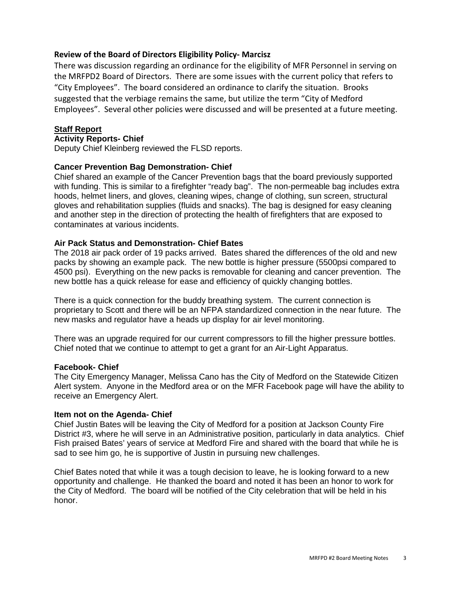## **Review of the Board of Directors Eligibility Policy- Marcisz**

There was discussion regarding an ordinance for the eligibility of MFR Personnel in serving on the MRFPD2 Board of Directors. There are some issues with the current policy that refers to "City Employees". The board considered an ordinance to clarify the situation. Brooks suggested that the verbiage remains the same, but utilize the term "City of Medford Employees". Several other policies were discussed and will be presented at a future meeting.

#### **Staff Report**

#### **Activity Reports- Chief**

Deputy Chief Kleinberg reviewed the FLSD reports.

## **Cancer Prevention Bag Demonstration- Chief**

Chief shared an example of the Cancer Prevention bags that the board previously supported with funding. This is similar to a firefighter "ready bag". The non-permeable bag includes extra hoods, helmet liners, and gloves, cleaning wipes, change of clothing, sun screen, structural gloves and rehabilitation supplies (fluids and snacks). The bag is designed for easy cleaning and another step in the direction of protecting the health of firefighters that are exposed to contaminates at various incidents.

## **Air Pack Status and Demonstration- Chief Bates**

The 2018 air pack order of 19 packs arrived. Bates shared the differences of the old and new packs by showing an example pack. The new bottle is higher pressure (5500psi compared to 4500 psi). Everything on the new packs is removable for cleaning and cancer prevention. The new bottle has a quick release for ease and efficiency of quickly changing bottles.

There is a quick connection for the buddy breathing system. The current connection is proprietary to Scott and there will be an NFPA standardized connection in the near future. The new masks and regulator have a heads up display for air level monitoring.

There was an upgrade required for our current compressors to fill the higher pressure bottles. Chief noted that we continue to attempt to get a grant for an Air-Light Apparatus.

#### **Facebook- Chief**

The City Emergency Manager, Melissa Cano has the City of Medford on the Statewide Citizen Alert system. Anyone in the Medford area or on the MFR Facebook page will have the ability to receive an Emergency Alert.

#### **Item not on the Agenda- Chief**

Chief Justin Bates will be leaving the City of Medford for a position at Jackson County Fire District #3, where he will serve in an Administrative position, particularly in data analytics. Chief Fish praised Bates' years of service at Medford Fire and shared with the board that while he is sad to see him go, he is supportive of Justin in pursuing new challenges.

Chief Bates noted that while it was a tough decision to leave, he is looking forward to a new opportunity and challenge. He thanked the board and noted it has been an honor to work for the City of Medford. The board will be notified of the City celebration that will be held in his honor.